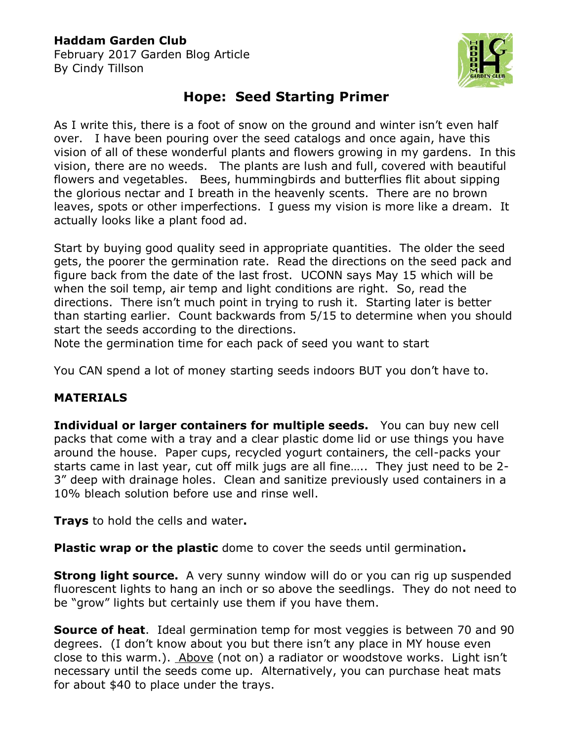## **Haddam Garden Club**

February 2017 Garden Blog Article By Cindy Tillson



## **Hope: Seed Starting Primer**

As I write this, there is a foot of snow on the ground and winter isn't even half over. I have been pouring over the seed catalogs and once again, have this vision of all of these wonderful plants and flowers growing in my gardens. In this vision, there are no weeds. The plants are lush and full, covered with beautiful flowers and vegetables. Bees, hummingbirds and butterflies flit about sipping the glorious nectar and I breath in the heavenly scents. There are no brown leaves, spots or other imperfections. I guess my vision is more like a dream. It actually looks like a plant food ad.

Start by buying good quality seed in appropriate quantities. The older the seed gets, the poorer the germination rate. Read the directions on the seed pack and figure back from the date of the last frost. UCONN says May 15 which will be when the soil temp, air temp and light conditions are right. So, read the directions. There isn't much point in trying to rush it. Starting later is better than starting earlier. Count backwards from 5/15 to determine when you should start the seeds according to the directions.

Note the germination time for each pack of seed you want to start

You CAN spend a lot of money starting seeds indoors BUT you don't have to.

## **MATERIALS**

**Individual or larger containers for multiple seeds.** You can buy new cell packs that come with a tray and a clear plastic dome lid or use things you have around the house. Paper cups, recycled yogurt containers, the cell-packs your starts came in last year, cut off milk jugs are all fine….. They just need to be 2- 3" deep with drainage holes. Clean and sanitize previously used containers in a 10% bleach solution before use and rinse well.

**Trays** to hold the cells and water**.** 

**Plastic wrap or the plastic** dome to cover the seeds until germination**.**

**Strong light source.** A very sunny window will do or you can rig up suspended fluorescent lights to hang an inch or so above the seedlings. They do not need to be "grow" lights but certainly use them if you have them.

**Source of heat**. Ideal germination temp for most veggies is between 70 and 90 degrees. (I don't know about you but there isn't any place in MY house even close to this warm.). Above (not on) a radiator or woodstove works. Light isn't necessary until the seeds come up. Alternatively, you can purchase heat mats for about \$40 to place under the trays.